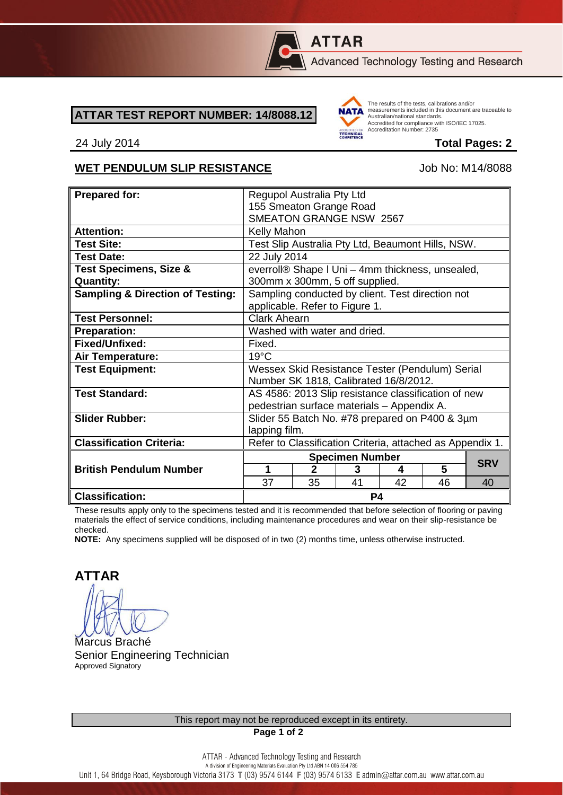

# **ATTAR**

Advanced Technology Testing and Research

#### **ATTAR TEST REPORT NUMBER: 14/8088.12**



The results of the tests, calibrations and/or measurements included in this document are traceable to Australian/national standards. Adstrational Midional Standards.<br>Accredited for compliance with ISO/IEC 17025. Accreditation Number: 2735

#### 24 July 2014 **Total Pages: 2**

### WET PENDULUM SLIP RESISTANCE Job No: M14/8088

| <b>Prepared for:</b>                                  | Regupol Australia Pty Ltd                                                          |              |    |    |    |            |
|-------------------------------------------------------|------------------------------------------------------------------------------------|--------------|----|----|----|------------|
|                                                       | 155 Smeaton Grange Road                                                            |              |    |    |    |            |
|                                                       | <b>SMEATON GRANGE NSW 2567</b>                                                     |              |    |    |    |            |
| <b>Attention:</b>                                     | Kelly Mahon                                                                        |              |    |    |    |            |
| <b>Test Site:</b>                                     | Test Slip Australia Pty Ltd, Beaumont Hills, NSW.                                  |              |    |    |    |            |
| <b>Test Date:</b>                                     | 22 July 2014                                                                       |              |    |    |    |            |
| <b>Test Specimens, Size &amp;</b><br><b>Quantity:</b> | everroll® Shape I Uni - 4mm thickness, unsealed,<br>300mm x 300mm, 5 off supplied. |              |    |    |    |            |
| <b>Sampling &amp; Direction of Testing:</b>           | Sampling conducted by client. Test direction not                                   |              |    |    |    |            |
|                                                       | applicable. Refer to Figure 1.                                                     |              |    |    |    |            |
| <b>Test Personnel:</b>                                | <b>Clark Ahearn</b>                                                                |              |    |    |    |            |
| <b>Preparation:</b>                                   | Washed with water and dried.                                                       |              |    |    |    |            |
| <b>Fixed/Unfixed:</b>                                 | Fixed.                                                                             |              |    |    |    |            |
| <b>Air Temperature:</b>                               | $19^{\circ}$ C                                                                     |              |    |    |    |            |
| <b>Test Equipment:</b>                                | Wessex Skid Resistance Tester (Pendulum) Serial                                    |              |    |    |    |            |
|                                                       | Number SK 1818, Calibrated 16/8/2012.                                              |              |    |    |    |            |
| <b>Test Standard:</b>                                 | AS 4586: 2013 Slip resistance classification of new                                |              |    |    |    |            |
|                                                       | pedestrian surface materials - Appendix A.                                         |              |    |    |    |            |
| <b>Slider Rubber:</b>                                 | Slider 55 Batch No. #78 prepared on P400 & 3µm                                     |              |    |    |    |            |
|                                                       | lapping film.                                                                      |              |    |    |    |            |
| <b>Classification Criteria:</b>                       | Refer to Classification Criteria, attached as Appendix 1.                          |              |    |    |    |            |
|                                                       | <b>Specimen Number</b>                                                             |              |    |    |    |            |
| <b>British Pendulum Number</b>                        | 1                                                                                  | $\mathbf{2}$ | 3  | 4  | 5  | <b>SRV</b> |
|                                                       | 37                                                                                 | 35           | 41 | 42 | 46 | 40         |
| <b>Classification:</b>                                | P4                                                                                 |              |    |    |    |            |

These results apply only to the specimens tested and it is recommended that before selection of flooring or paving materials the effect of service conditions, including maintenance procedures and wear on their slip-resistance be checked.

**NOTE:** Any specimens supplied will be disposed of in two (2) months time, unless otherwise instructed.

**ATTAR**

Marcus Braché Senior Engineering Technician Approved Signatory